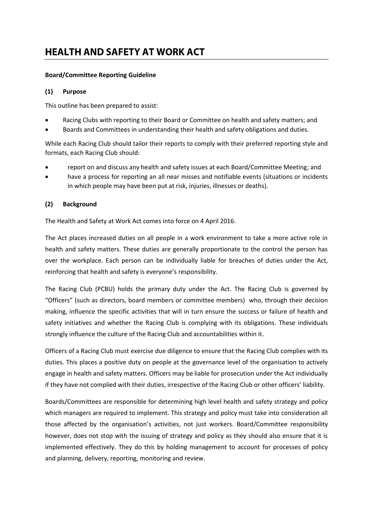# **HEALTH AND SAFETY AT WORK ACT**

#### **Board/Committee Reporting Guideline**

## **(1) Purpose**

This outline has been prepared to assist:

- Racing Clubs with reporting to their Board or Committee on health and safety matters; and
- Boards and Committees in understanding their health and safety obligations and duties.

While each Racing Club should tailor their reports to comply with their preferred reporting style and formats, each Racing Club should:

- report on and discuss any health and safety issues at each Board/Committee Meeting; and
- have a process for reporting an all near misses and notifiable events (situations or incidents in which people may have been put at risk, injuries, illnesses or deaths).

## **(2) Background**

The Health and Safety at Work Act comes into force on 4 April 2016.

The Act places increased duties on all people in a work environment to take a more active role in health and safety matters. These duties are generally proportionate to the control the person has over the workplace. Each person can be individually liable for breaches of duties under the Act, reinforcing that health and safety is everyone's responsibility.

The Racing Club (PCBU) holds the primary duty under the Act. The Racing Club is governed by "Officers" (such as directors, board members or committee members) who, through their decision making, influence the specific activities that will in turn ensure the success or failure of health and safety initiatives and whether the Racing Club is complying with its obligations. These individuals strongly influence the culture of the Racing Club and accountabilities within it.

Officers of a Racing Club must exercise due diligence to ensure that the Racing Club complies with its duties. This places a positive duty on people at the governance level of the organisation to actively engage in health and safety matters. Officers may be liable for prosecution under the Act individually if they have not complied with their duties, irrespective of the Racing Club or other officers' liability.

Boards/Committees are responsible for determining high level health and safety strategy and policy which managers are required to implement. This strategy and policy must take into consideration all those affected by the organisation's activities, not just workers. Board/Committee responsibility however, does not stop with the issuing of strategy and policy as they should also ensure that it is implemented effectively. They do this by holding management to account for processes of policy and planning, delivery, reporting, monitoring and review.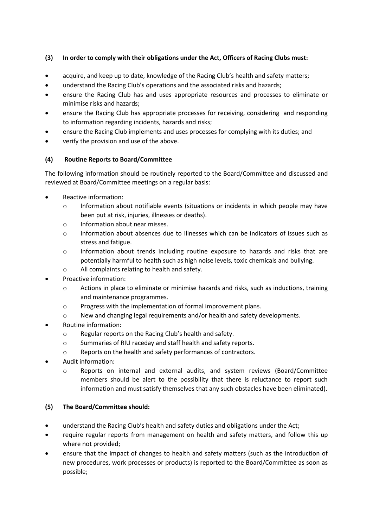## **(3) In order to comply with their obligations under the Act, Officers of Racing Clubs must:**

- acquire, and keep up to date, knowledge of the Racing Club's health and safety matters;
- understand the Racing Club's operations and the associated risks and hazards;
- ensure the Racing Club has and uses appropriate resources and processes to eliminate or minimise risks and hazards;
- ensure the Racing Club has appropriate processes for receiving, considering and responding to information regarding incidents, hazards and risks;
- ensure the Racing Club implements and uses processes for complying with its duties; and
- verify the provision and use of the above.

## **(4) Routine Reports to Board/Committee**

The following information should be routinely reported to the Board/Committee and discussed and reviewed at Board/Committee meetings on a regular basis:

- Reactive information:
	- o Information about notifiable events (situations or incidents in which people may have been put at risk, injuries, illnesses or deaths).
	- o Information about near misses.
	- o Information about absences due to illnesses which can be indicators of issues such as stress and fatigue.
	- $\circ$  Information about trends including routine exposure to hazards and risks that are potentially harmful to health such as high noise levels, toxic chemicals and bullying.
	- o All complaints relating to health and safety.
- Proactive information:
	- o Actions in place to eliminate or minimise hazards and risks, such as inductions, training and maintenance programmes.
	- o Progress with the implementation of formal improvement plans.
	- o New and changing legal requirements and/or health and safety developments.
- Routine information:
	- o Regular reports on the Racing Club's health and safety.
	- o Summaries of RIU raceday and staff health and safety reports.
	- o Reports on the health and safety performances of contractors.
- Audit information:
	- o Reports on internal and external audits, and system reviews (Board/Committee members should be alert to the possibility that there is reluctance to report such information and must satisfy themselves that any such obstacles have been eliminated).

## **(5) The Board/Committee should:**

- understand the Racing Club's health and safety duties and obligations under the Act;
- require regular reports from management on health and safety matters, and follow this up where not provided;
- ensure that the impact of changes to health and safety matters (such as the introduction of new procedures, work processes or products) is reported to the Board/Committee as soon as possible;